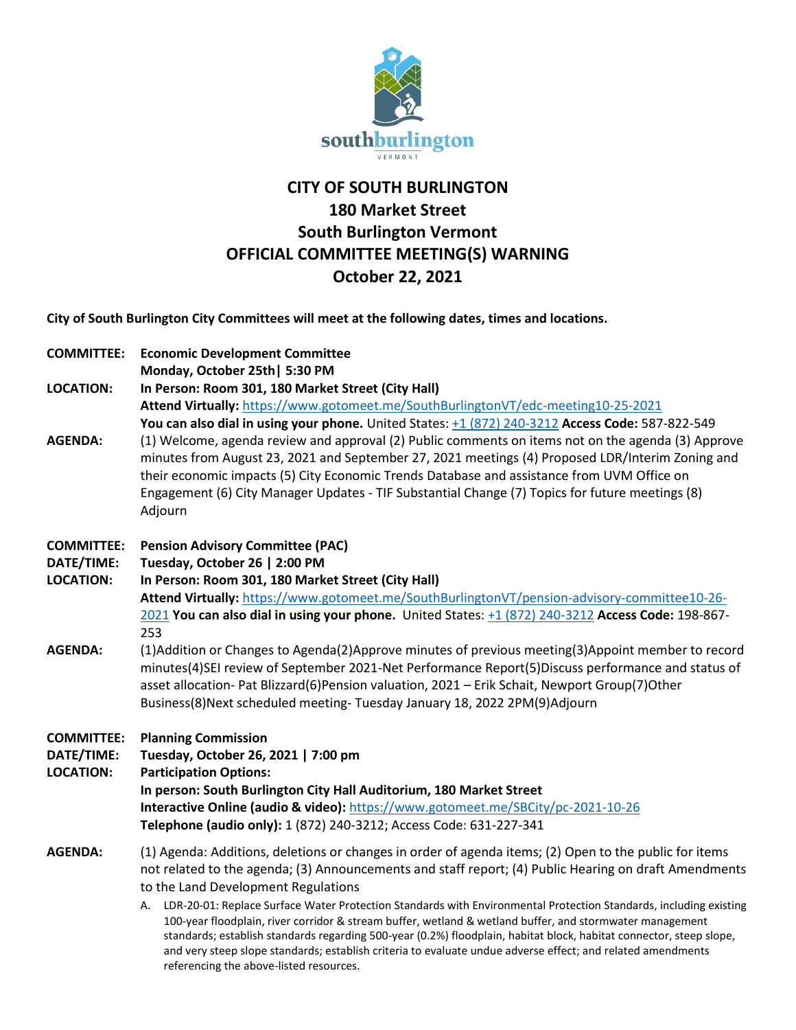

## **CITY OF SOUTH BURLINGTON 180 Market Street South Burlington Vermont OFFICIAL COMMITTEE MEETING(S) WARNING October 22, 2021**

**City of South Burlington City Committees will meet at the following dates, times and locations.** 

| <b>COMMITTEE:</b> | <b>Economic Development Committee</b>                                                              |
|-------------------|----------------------------------------------------------------------------------------------------|
|                   | Monday, October 25th   5:30 PM                                                                     |
| <b>LOCATION:</b>  | In Person: Room 301, 180 Market Street (City Hall)                                                 |
|                   | Attend Virtually: https://www.gotomeet.me/SouthBurlingtonVT/edc-meeting10-25-2021                  |
|                   | You can also dial in using your phone. United States: +1 (872) 240-3212 Access Code: 587-822-549   |
| <b>AGENDA:</b>    | (1) Welcome, agenda review and approval (2) Public comments on items not on the agenda (3) Approve |
|                   | minutes from August 23, 2021 and September 27, 2021 meetings (4) Proposed LDR/Interim Zoning and   |
|                   | their economic impacts (5) City Economic Trends Database and assistance from UVM Office on         |

- **COMMITTEE: Pension Advisory Committee (PAC)**
- **DATE/TIME: Tuesday, October 26 | 2:00 PM**

Adjourn

**LOCATION: In Person: Room 301, 180 Market Street (City Hall) Attend Virtually:** [https://www.gotomeet.me/SouthBurlingtonVT/pension-advisory-committee10-26-](https://www.gotomeet.me/SouthBurlingtonVT/pension-advisory-committee10-26-2021) [2021](https://www.gotomeet.me/SouthBurlingtonVT/pension-advisory-committee10-26-2021) **You can also dial in using your phone.** United States: [+1 \(872\) 240-3212](tel:+18722403212,,198867253) **Access Code:** 198-867- 253

Engagement (6) City Manager Updates - TIF Substantial Change (7) Topics for future meetings (8)

AGENDA: (1)Addition or Changes to Agenda(2)Approve minutes of previous meeting(3)Appoint member to record minutes(4)SEI review of September 2021-Net Performance Report(5)Discuss performance and status of asset allocation- Pat Blizzard(6)Pension valuation, 2021 – Erik Schait, Newport Group(7)Other Business(8)Next scheduled meeting- Tuesday January 18, 2022 2PM(9)Adjourn

**COMMITTEE: Planning Commission**

**DATE/TIME: Tuesday, October 26, 2021 | 7:00 pm**

**LOCATION: Participation Options:**

**In person: South Burlington City Hall Auditorium, 180 Market Street Interactive Online (audio & video):** <https://www.gotomeet.me/SBCity/pc-2021-10-26> **Telephone (audio only):** 1 (872) 240-3212; Access Code: 631-227-341

## **AGENDA:** (1) Agenda: Additions, deletions or changes in order of agenda items; (2) Open to the public for items not related to the agenda; (3) Announcements and staff report; (4) Public Hearing on draft Amendments to the Land Development Regulations

A. LDR-20-01: Replace Surface Water Protection Standards with Environmental Protection Standards, including existing 100-year floodplain, river corridor & stream buffer, wetland & wetland buffer, and stormwater management standards; establish standards regarding 500-year (0.2%) floodplain, habitat block, habitat connector, steep slope, and very steep slope standards; establish criteria to evaluate undue adverse effect; and related amendments referencing the above-listed resources.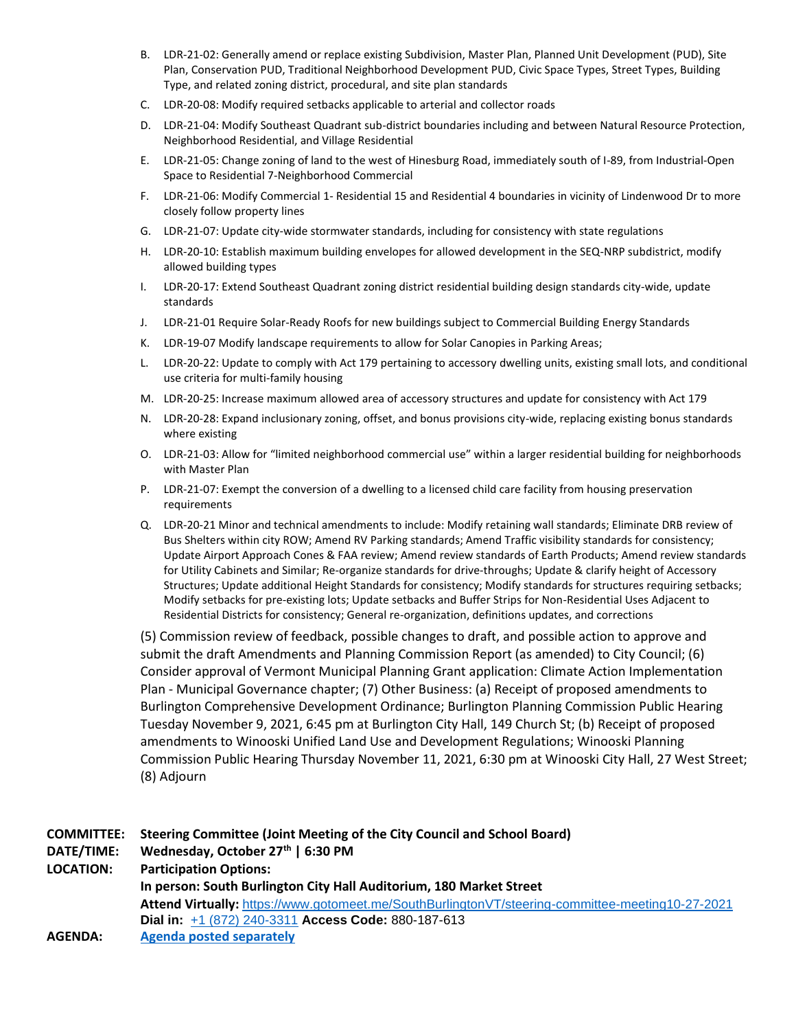- B. LDR-21-02: Generally amend or replace existing Subdivision, Master Plan, Planned Unit Development (PUD), Site Plan, Conservation PUD, Traditional Neighborhood Development PUD, Civic Space Types, Street Types, Building Type, and related zoning district, procedural, and site plan standards
- C. LDR-20-08: Modify required setbacks applicable to arterial and collector roads
- D. LDR-21-04: Modify Southeast Quadrant sub-district boundaries including and between Natural Resource Protection, Neighborhood Residential, and Village Residential
- E. LDR-21-05: Change zoning of land to the west of Hinesburg Road, immediately south of I-89, from Industrial-Open Space to Residential 7-Neighborhood Commercial
- F. LDR-21-06: Modify Commercial 1- Residential 15 and Residential 4 boundaries in vicinity of Lindenwood Dr to more closely follow property lines
- G. LDR-21-07: Update city-wide stormwater standards, including for consistency with state regulations
- H. LDR-20-10: Establish maximum building envelopes for allowed development in the SEQ-NRP subdistrict, modify allowed building types
- I. LDR-20-17: Extend Southeast Quadrant zoning district residential building design standards city-wide, update standards
- J. LDR-21-01 Require Solar-Ready Roofs for new buildings subject to Commercial Building Energy Standards
- K. LDR-19-07 Modify landscape requirements to allow for Solar Canopies in Parking Areas;
- L. LDR-20-22: Update to comply with Act 179 pertaining to accessory dwelling units, existing small lots, and conditional use criteria for multi-family housing
- M. LDR-20-25: Increase maximum allowed area of accessory structures and update for consistency with Act 179
- N. LDR-20-28: Expand inclusionary zoning, offset, and bonus provisions city-wide, replacing existing bonus standards where existing
- O. LDR-21-03: Allow for "limited neighborhood commercial use" within a larger residential building for neighborhoods with Master Plan
- P. LDR-21-07: Exempt the conversion of a dwelling to a licensed child care facility from housing preservation requirements
- Q. LDR-20-21 Minor and technical amendments to include: Modify retaining wall standards; Eliminate DRB review of Bus Shelters within city ROW; Amend RV Parking standards; Amend Traffic visibility standards for consistency; Update Airport Approach Cones & FAA review; Amend review standards of Earth Products; Amend review standards for Utility Cabinets and Similar; Re-organize standards for drive-throughs; Update & clarify height of Accessory Structures; Update additional Height Standards for consistency; Modify standards for structures requiring setbacks; Modify setbacks for pre-existing lots; Update setbacks and Buffer Strips for Non-Residential Uses Adjacent to Residential Districts for consistency; General re-organization, definitions updates, and corrections

(5) Commission review of feedback, possible changes to draft, and possible action to approve and submit the draft Amendments and Planning Commission Report (as amended) to City Council; (6) Consider approval of Vermont Municipal Planning Grant application: Climate Action Implementation Plan - Municipal Governance chapter; (7) Other Business: (a) Receipt of proposed amendments to Burlington Comprehensive Development Ordinance; Burlington Planning Commission Public Hearing Tuesday November 9, 2021, 6:45 pm at Burlington City Hall, 149 Church St; (b) Receipt of proposed amendments to Winooski Unified Land Use and Development Regulations; Winooski Planning Commission Public Hearing Thursday November 11, 2021, 6:30 pm at Winooski City Hall, 27 West Street; (8) Adjourn

| <b>COMMITTEE:</b> | Steering Committee (Joint Meeting of the City Council and School Board)                          |
|-------------------|--------------------------------------------------------------------------------------------------|
| DATE/TIME:        | Wednesday, October 27th   6:30 PM                                                                |
| <b>LOCATION:</b>  | <b>Participation Options:</b>                                                                    |
|                   | In person: South Burlington City Hall Auditorium, 180 Market Street                              |
|                   | Attend Virtually: https://www.gotomeet.me/SouthBurlingtonVT/steering-committee-meeting10-27-2021 |
|                   | Dial in: +1 (872) 240-3311 Access Code: 880-187-613                                              |
| AGENDA:           | <b>Agenda posted separately</b>                                                                  |